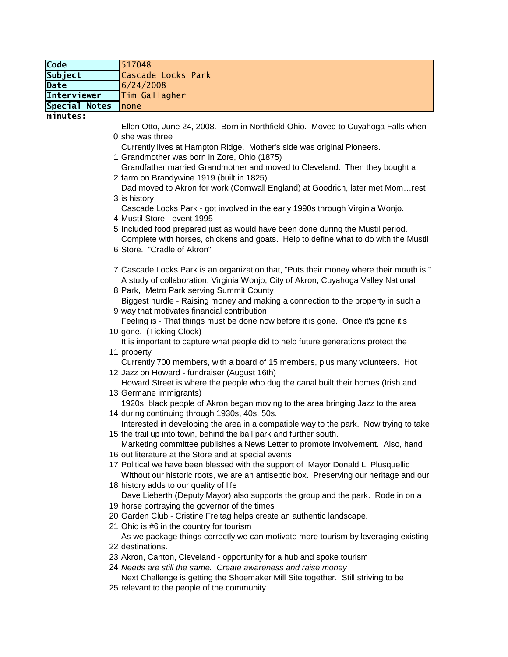| Code          | 1517048            |
|---------------|--------------------|
| Subject       | Cascade Locks Park |
| Date          | 6/24/2008          |
| Interviewer   | Tim Gallagher      |
| Special Notes | Inone              |

**minutes:**

0 she was three Ellen Otto, June 24, 2008. Born in Northfield Ohio. Moved to Cuyahoga Falls when

Currently lives at Hampton Ridge. Mother's side was original Pioneers.

1 Grandmother was born in Zore, Ohio (1875)

2 farm on Brandywine 1919 (built in 1825) Grandfather married Grandmother and moved to Cleveland. Then they bought a

3 is history Dad moved to Akron for work (Cornwall England) at Goodrich, later met Mom…rest

4 Mustil Store - event 1995 Cascade Locks Park - got involved in the early 1990s through Virginia Wonjo.

5 Included food prepared just as would have been done during the Mustil period. Complete with horses, chickens and goats. Help to define what to do with the Mustil

- 6 Store. "Cradle of Akron"
- 7 Cascade Locks Park is an organization that, "Puts their money where their mouth is." A study of collaboration, Virginia Wonjo, City of Akron, Cuyahoga Valley National
- 8 Park, Metro Park serving Summit County Biggest hurdle - Raising money and making a connection to the property in such a

9 way that motivates financial contribution Feeling is - That things must be done now before it is gone. Once it's gone it's

- 10 gone. (Ticking Clock) It is important to capture what people did to help future generations protect the
- 11 property Currently 700 members, with a board of 15 members, plus many volunteers. Hot

12 Jazz on Howard - fundraiser (August 16th) Howard Street is where the people who dug the canal built their homes (Irish and

- 13 Germane immigrants) 1920s, black people of Akron began moving to the area bringing Jazz to the area
- 14 during continuing through 1930s, 40s, 50s. Interested in developing the area in a compatible way to the park. Now trying to take

15 the trail up into town, behind the ball park and further south. Marketing committee publishes a News Letter to promote involvement. Also, hand

- 16 out literature at the Store and at special events
- 17 Political we have been blessed with the support of Mayor Donald L. Plusquellic Without our historic roots, we are an antiseptic box. Preserving our heritage and our
- 18 history adds to our quality of life Dave Lieberth (Deputy Mayor) also supports the group and the park. Rode in on a
- 19 horse portraying the governor of the times
- 20 Garden Club Cristine Freitag helps create an authentic landscape.
- 21 Ohio is #6 in the country for tourism

22 destinations. As we package things correctly we can motivate more tourism by leveraging existing

- 23 Akron, Canton, Cleveland opportunity for a hub and spoke tourism
- 24 *Needs are still the same. Create awareness and raise money*
- 25 relevant to the people of the communityNext Challenge is getting the Shoemaker Mill Site together. Still striving to be